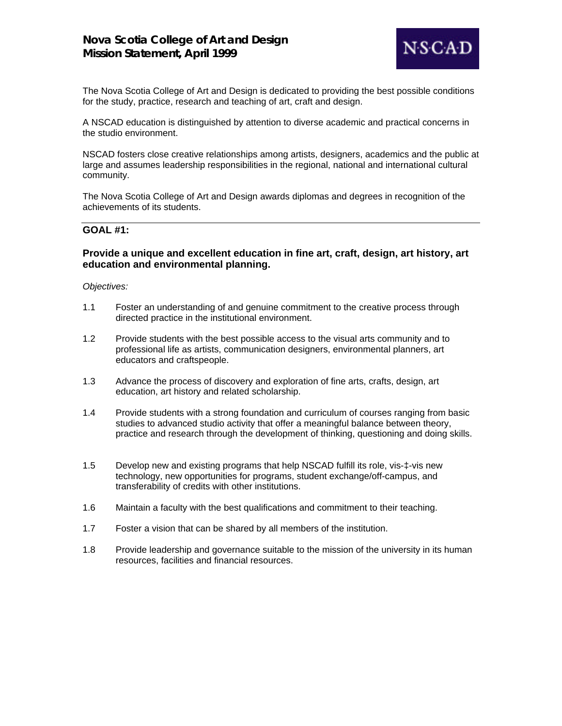

The Nova Scotia College of Art and Design is dedicated to providing the best possible conditions for the study, practice, research and teaching of art, craft and design.

A NSCAD education is distinguished by attention to diverse academic and practical concerns in the studio environment.

NSCAD fosters close creative relationships among artists, designers, academics and the public at large and assumes leadership responsibilities in the regional, national and international cultural community.

The Nova Scotia College of Art and Design awards diplomas and degrees in recognition of the achievements of its students.

#### **GOAL #1:**

### **Provide a unique and excellent education in fine art, craft, design, art history, art education and environmental planning.**

- 1.1 Foster an understanding of and genuine commitment to the creative process through directed practice in the institutional environment.
- 1.2 Provide students with the best possible access to the visual arts community and to professional life as artists, communication designers, environmental planners, art educators and craftspeople.
- 1.3 Advance the process of discovery and exploration of fine arts, crafts, design, art education, art history and related scholarship.
- 1.4 Provide students with a strong foundation and curriculum of courses ranging from basic studies to advanced studio activity that offer a meaningful balance between theory, practice and research through the development of thinking, questioning and doing skills.
- 1.5 Develop new and existing programs that help NSCAD fulfill its role, vis-‡-vis new technology, new opportunities for programs, student exchange/off-campus, and transferability of credits with other institutions.
- 1.6 Maintain a faculty with the best qualifications and commitment to their teaching.
- 1.7 Foster a vision that can be shared by all members of the institution.
- 1.8 Provide leadership and governance suitable to the mission of the university in its human resources, facilities and financial resources.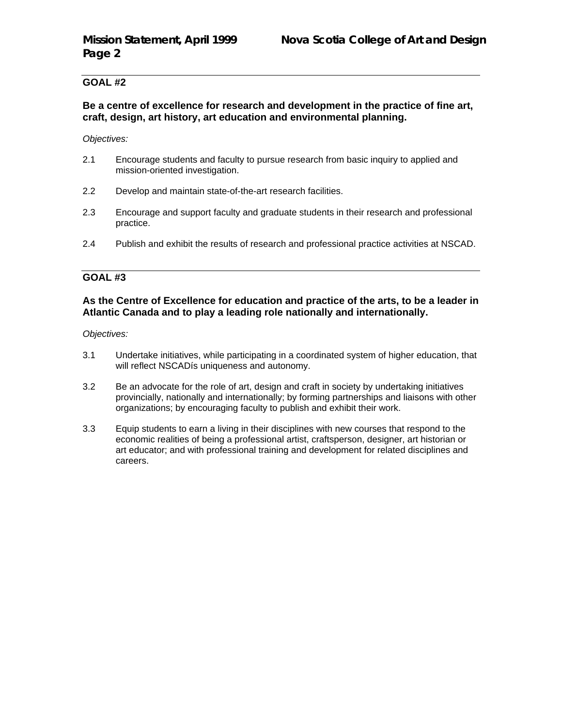# **Be a centre of excellence for research and development in the practice of fine art, craft, design, art history, art education and environmental planning.**

*Objectives:*

- 2.1 Encourage students and faculty to pursue research from basic inquiry to applied and mission-oriented investigation.
- 2.2 Develop and maintain state-of-the-art research facilities.
- 2.3 Encourage and support faculty and graduate students in their research and professional practice.
- 2.4 Publish and exhibit the results of research and professional practice activities at NSCAD.

# **GOAL #3**

# **As the Centre of Excellence for education and practice of the arts, to be a leader in Atlantic Canada and to play a leading role nationally and internationally.**

- 3.1 Undertake initiatives, while participating in a coordinated system of higher education, that will reflect NSCADís uniqueness and autonomy.
- 3.2 Be an advocate for the role of art, design and craft in society by undertaking initiatives provincially, nationally and internationally; by forming partnerships and liaisons with other organizations; by encouraging faculty to publish and exhibit their work.
- 3.3 Equip students to earn a living in their disciplines with new courses that respond to the economic realities of being a professional artist, craftsperson, designer, art historian or art educator; and with professional training and development for related disciplines and careers.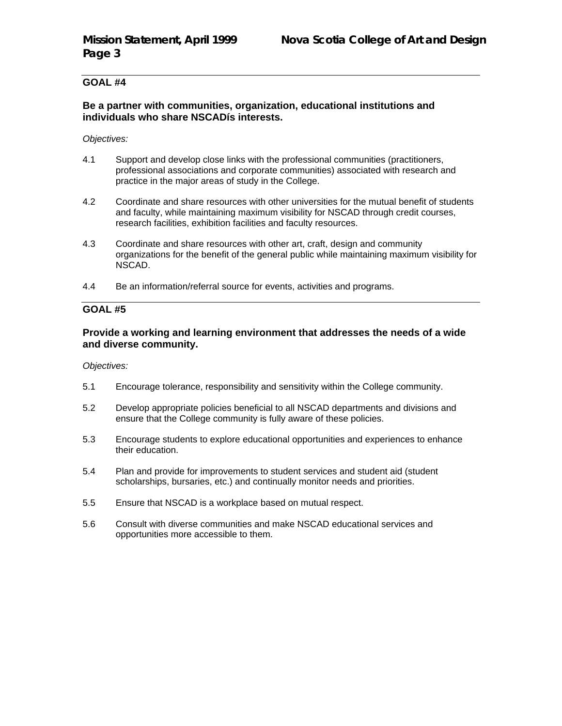### **Be a partner with communities, organization, educational institutions and individuals who share NSCADís interests.**

#### *Objectives:*

- 4.1 Support and develop close links with the professional communities (practitioners, professional associations and corporate communities) associated with research and practice in the major areas of study in the College.
- 4.2 Coordinate and share resources with other universities for the mutual benefit of students and faculty, while maintaining maximum visibility for NSCAD through credit courses, research facilities, exhibition facilities and faculty resources.
- 4.3 Coordinate and share resources with other art, craft, design and community organizations for the benefit of the general public while maintaining maximum visibility for NSCAD.
- 4.4 Be an information/referral source for events, activities and programs.

# **GOAL #5**

#### **Provide a working and learning environment that addresses the needs of a wide and diverse community.**

- 5.1 Encourage tolerance, responsibility and sensitivity within the College community.
- 5.2 Develop appropriate policies beneficial to all NSCAD departments and divisions and ensure that the College community is fully aware of these policies.
- 5.3 Encourage students to explore educational opportunities and experiences to enhance their education.
- 5.4 Plan and provide for improvements to student services and student aid (student scholarships, bursaries, etc.) and continually monitor needs and priorities.
- 5.5 Ensure that NSCAD is a workplace based on mutual respect.
- 5.6 Consult with diverse communities and make NSCAD educational services and opportunities more accessible to them.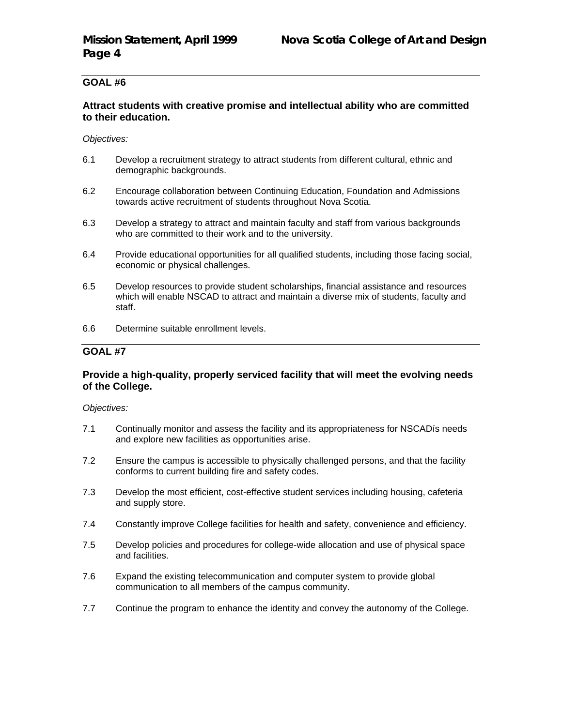### **Attract students with creative promise and intellectual ability who are committed to their education.**

*Objectives:*

- 6.1 Develop a recruitment strategy to attract students from different cultural, ethnic and demographic backgrounds.
- 6.2 Encourage collaboration between Continuing Education, Foundation and Admissions towards active recruitment of students throughout Nova Scotia.
- 6.3 Develop a strategy to attract and maintain faculty and staff from various backgrounds who are committed to their work and to the university.
- 6.4 Provide educational opportunities for all qualified students, including those facing social, economic or physical challenges.
- 6.5 Develop resources to provide student scholarships, financial assistance and resources which will enable NSCAD to attract and maintain a diverse mix of students, faculty and staff.
- 6.6 Determine suitable enrollment levels.

# **GOAL #7**

### **Provide a high-quality, properly serviced facility that will meet the evolving needs of the College.**

- 7.1 Continually monitor and assess the facility and its appropriateness for NSCADís needs and explore new facilities as opportunities arise.
- 7.2 Ensure the campus is accessible to physically challenged persons, and that the facility conforms to current building fire and safety codes.
- 7.3 Develop the most efficient, cost-effective student services including housing, cafeteria and supply store.
- 7.4 Constantly improve College facilities for health and safety, convenience and efficiency.
- 7.5 Develop policies and procedures for college-wide allocation and use of physical space and facilities.
- 7.6 Expand the existing telecommunication and computer system to provide global communication to all members of the campus community.
- 7.7 Continue the program to enhance the identity and convey the autonomy of the College.